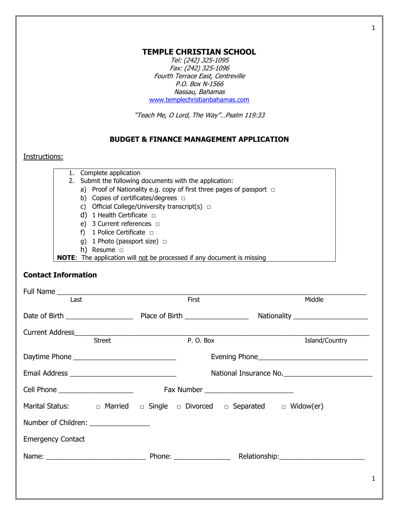### **TEMPLE CHRISTIAN SCHOOL**

Tel: (242) 325-1095 Fax: (242) 325-1096 Fourth Terrace East, Centreville P.O. Box N-1566 Nassau, Bahamas [www.templechristianbahamas.com](http://www.templechristianbahamas.com/)

"Teach Me, O Lord, Th<sup>e</sup> Way"…Psalm 119:33

## **BUDGET & FINANCE MANAGEMENT APPLICATION**

## Instructions:

| 1. Complete application                                                       |
|-------------------------------------------------------------------------------|
| 2. Submit the following documents with the application:                       |
| a) Proof of Nationality e.g. copy of first three pages of passport $\Box$     |
| Copies of certificates/degrees $\Box$<br>b)                                   |
| Official College/University transcript(s) $\Box$                              |
| d) 1 Health Certificate $\Box$                                                |
| e) 3 Current references $\Box$                                                |
| 1 Police Certificate $\Box$                                                   |
| g) 1 Photo (passport size) $\Box$                                             |
| Resume $\Box$<br>h)                                                           |
| <b>NOTE:</b> The application will not be processed if any document is missing |

## **Contact Information**

| Last                                                                                           |               | First    | Middle                                                                            |  |  |
|------------------------------------------------------------------------------------------------|---------------|----------|-----------------------------------------------------------------------------------|--|--|
|                                                                                                |               |          |                                                                                   |  |  |
|                                                                                                |               |          |                                                                                   |  |  |
|                                                                                                | <b>Street</b> | P.O. Box | Island/Country                                                                    |  |  |
|                                                                                                |               |          | Evening Phone <b>Example 20</b> Phone <b>Evening</b> Phone <b>Figure 20 Phone</b> |  |  |
|                                                                                                |               |          | National Insurance No.                                                            |  |  |
|                                                                                                |               |          | Fax Number ____________________________                                           |  |  |
| Marital Status: $\Box$ Married $\Box$ Single $\Box$ Divorced $\Box$ Separated $\Box$ Widow(er) |               |          |                                                                                   |  |  |
| Number of Children: _______________                                                            |               |          |                                                                                   |  |  |
| <b>Emergency Contact</b>                                                                       |               |          |                                                                                   |  |  |
|                                                                                                |               |          |                                                                                   |  |  |
|                                                                                                |               |          |                                                                                   |  |  |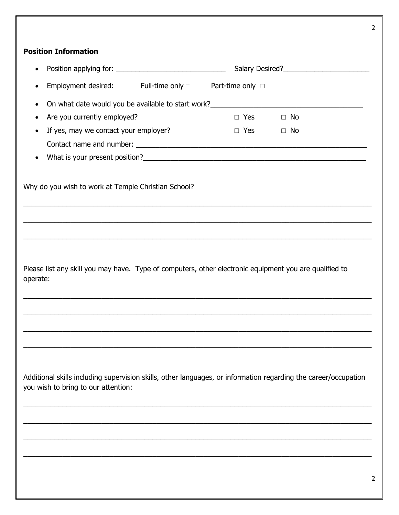# **Position Information**

|                                                                                                                                                        |                                                                                                           |                      | Salary Desired?<br><u> Salary Desired</u> ? |  |
|--------------------------------------------------------------------------------------------------------------------------------------------------------|-----------------------------------------------------------------------------------------------------------|----------------------|---------------------------------------------|--|
|                                                                                                                                                        | Employment desired: Full-time only $\Box$                                                                 | Part-time only □     |                                             |  |
|                                                                                                                                                        | On what date would you be available to start work?<br><u>Canadian manual contract with the start work</u> |                      |                                             |  |
| Are you currently employed?                                                                                                                            |                                                                                                           | $\Box$ Yes           | $\Box$ No                                   |  |
| If yes, may we contact your employer?                                                                                                                  |                                                                                                           | $\Box$ Yes $\Box$ No |                                             |  |
|                                                                                                                                                        |                                                                                                           |                      |                                             |  |
|                                                                                                                                                        |                                                                                                           |                      |                                             |  |
| Why do you wish to work at Temple Christian School?                                                                                                    |                                                                                                           |                      |                                             |  |
|                                                                                                                                                        |                                                                                                           |                      |                                             |  |
| Please list any skill you may have. Type of computers, other electronic equipment you are qualified to<br>operate:                                     |                                                                                                           |                      |                                             |  |
|                                                                                                                                                        |                                                                                                           |                      |                                             |  |
|                                                                                                                                                        |                                                                                                           |                      |                                             |  |
|                                                                                                                                                        |                                                                                                           |                      |                                             |  |
|                                                                                                                                                        |                                                                                                           |                      |                                             |  |
| Additional skills including supervision skills, other languages, or information regarding the career/occupation<br>you wish to bring to our attention: |                                                                                                           |                      |                                             |  |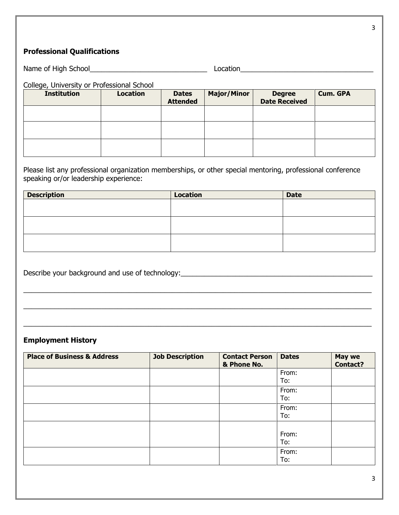# **Professional Qualifications**

| Name of High<br>$\lq$ School<br>. . | . |  |
|-------------------------------------|---|--|
|                                     |   |  |

#### College, University or Professional School

| <b>Institution</b> | <b>Location</b> | <b>Dates</b><br><b>Attended</b> | <b>Major/Minor</b> | <b>Degree</b><br><b>Date Received</b> | <b>Cum. GPA</b> |
|--------------------|-----------------|---------------------------------|--------------------|---------------------------------------|-----------------|
|                    |                 |                                 |                    |                                       |                 |
|                    |                 |                                 |                    |                                       |                 |
|                    |                 |                                 |                    |                                       |                 |

Please list any professional organization memberships, or other special mentoring, professional conference speaking or/or leadership experience:

| <b>Description</b> | <b>Location</b> | <b>Date</b> |
|--------------------|-----------------|-------------|
|                    |                 |             |
|                    |                 |             |
|                    |                 |             |
|                    |                 |             |
|                    |                 |             |
|                    |                 |             |

 $\_$  , and the set of the set of the set of the set of the set of the set of the set of the set of the set of the set of the set of the set of the set of the set of the set of the set of the set of the set of the set of th

 $\_$  , and the set of the set of the set of the set of the set of the set of the set of the set of the set of the set of the set of the set of the set of the set of the set of the set of the set of the set of the set of th

 $\_$  , and the set of the set of the set of the set of the set of the set of the set of the set of the set of the set of the set of the set of the set of the set of the set of the set of the set of the set of the set of th

Describe your background and use of technology:\_\_\_\_\_\_\_\_\_\_\_\_\_\_\_\_\_\_\_\_\_\_\_\_\_\_\_\_\_\_\_\_\_\_

## **Employment History**

| <b>Place of Business &amp; Address</b> | <b>Job Description</b> | <b>Contact Person</b><br>& Phone No. | <b>Dates</b> | <b>May we</b><br><b>Contact?</b> |
|----------------------------------------|------------------------|--------------------------------------|--------------|----------------------------------|
|                                        |                        |                                      | From:<br>To: |                                  |
|                                        |                        |                                      | From:<br>To: |                                  |
|                                        |                        |                                      | From:<br>To: |                                  |
|                                        |                        |                                      | From:<br>To: |                                  |
|                                        |                        |                                      | From:<br>To: |                                  |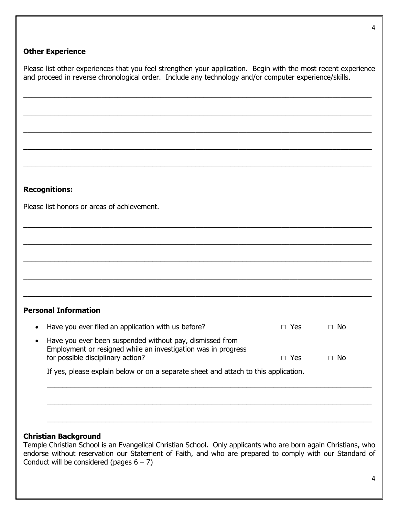### **Other Experience**

Please list other experiences that you feel strengthen your application. Begin with the most recent experience and proceed in reverse chronological order. Include any technology and/or computer experience/skills.

 $\_$  , and the set of the set of the set of the set of the set of the set of the set of the set of the set of the set of the set of the set of the set of the set of the set of the set of the set of the set of the set of th

 $\_$  , and the set of the set of the set of the set of the set of the set of the set of the set of the set of the set of the set of the set of the set of the set of the set of the set of the set of the set of the set of th

 $\_$  , and the set of the set of the set of the set of the set of the set of the set of the set of the set of the set of the set of the set of the set of the set of the set of the set of the set of the set of the set of th

 $\_$  , and the set of the set of the set of the set of the set of the set of the set of the set of the set of the set of the set of the set of the set of the set of the set of the set of the set of the set of the set of th

 $\_$  , and the set of the set of the set of the set of the set of the set of the set of the set of the set of the set of the set of the set of the set of the set of the set of the set of the set of the set of the set of th

 $\_$  , and the set of the set of the set of the set of the set of the set of the set of the set of the set of the set of the set of the set of the set of the set of the set of the set of the set of the set of the set of th

\_\_\_\_\_\_\_\_\_\_\_\_\_\_\_\_\_\_\_\_\_\_\_\_\_\_\_\_\_\_\_\_\_\_\_\_\_\_\_\_\_\_\_\_\_\_\_\_\_\_\_\_\_\_\_\_\_\_\_\_\_\_\_\_\_\_\_\_\_\_\_\_\_\_\_\_\_\_\_\_\_\_\_\_\_\_\_\_\_

 $\_$  , and the set of the set of the set of the set of the set of the set of the set of the set of the set of the set of the set of the set of the set of the set of the set of the set of the set of the set of the set of th

 $\_$  ,  $\_$  ,  $\_$  ,  $\_$  ,  $\_$  ,  $\_$  ,  $\_$  ,  $\_$  ,  $\_$  ,  $\_$  ,  $\_$  ,  $\_$  ,  $\_$  ,  $\_$  ,  $\_$  ,  $\_$  ,  $\_$  ,  $\_$  ,  $\_$  ,  $\_$  ,  $\_$  ,  $\_$  ,  $\_$  ,  $\_$  ,  $\_$  ,  $\_$  ,  $\_$  ,  $\_$  ,  $\_$  ,  $\_$  ,  $\_$  ,  $\_$  ,  $\_$  ,  $\_$  ,  $\_$  ,  $\_$  ,  $\_$  ,

 $\_$  , and the set of the set of the set of the set of the set of the set of the set of the set of the set of the set of the set of the set of the set of the set of the set of the set of the set of the set of the set of th

### **Recognitions:**

Please list honors or areas of achievement.

### **Personal Information**

| • Have you ever filed an application with us before?                                                                                                             | $\Box$ Yes | ∩ No      |
|------------------------------------------------------------------------------------------------------------------------------------------------------------------|------------|-----------|
| • Have you ever been suspended without pay, dismissed from<br>Employment or resigned while an investigation was in progress<br>for possible disciplinary action? | $\Box$ Yes | $\Box$ No |

 $\_$  , and the set of the set of the set of the set of the set of the set of the set of the set of the set of the set of the set of the set of the set of the set of the set of the set of the set of the set of the set of th

 $\_$  , and the set of the set of the set of the set of the set of the set of the set of the set of the set of the set of the set of the set of the set of the set of the set of the set of the set of the set of the set of th

\_\_\_\_\_\_\_\_\_\_\_\_\_\_\_\_\_\_\_\_\_\_\_\_\_\_\_\_\_\_\_\_\_\_\_\_\_\_\_\_\_\_\_\_\_\_\_\_\_\_\_\_\_\_\_\_\_\_\_\_\_\_\_\_\_\_\_\_\_\_\_\_\_\_\_\_\_\_\_\_\_\_\_

If yes, please explain below or on a separate sheet and attach to this application.

### **Christian Background**

Temple Christian School is an Evangelical Christian School. Only applicants who are born again Christians, who endorse without reservation our Statement of Faith, and who are prepared to comply with our Standard of Conduct will be considered (pages  $6 - 7$ )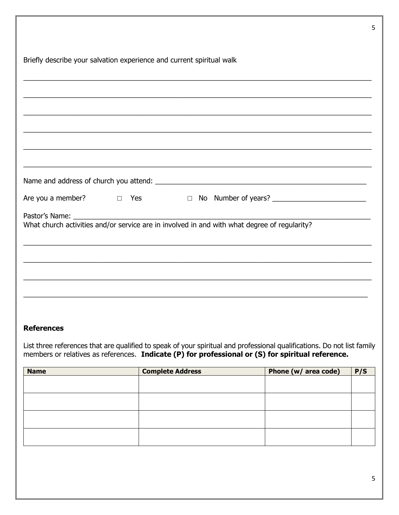| Briefly describe your salvation experience and current spiritual walk |  |                                                                                  |                                                                           |  |
|-----------------------------------------------------------------------|--|----------------------------------------------------------------------------------|---------------------------------------------------------------------------|--|
|                                                                       |  |                                                                                  |                                                                           |  |
|                                                                       |  |                                                                                  |                                                                           |  |
|                                                                       |  |                                                                                  |                                                                           |  |
|                                                                       |  |                                                                                  |                                                                           |  |
|                                                                       |  | ,我们也不能在这里的时候,我们也不能在这里的时候,我们也不能不能不能不能不能不能不能不能不能不能不能不能不能不能不能。""我们的是我们的,我们也不能不能不能不能 |                                                                           |  |
|                                                                       |  |                                                                                  |                                                                           |  |
|                                                                       |  |                                                                                  |                                                                           |  |
|                                                                       |  |                                                                                  | Are you a member? □ Yes □ No Number of years? <u>□ No Number of years</u> |  |
|                                                                       |  |                                                                                  |                                                                           |  |
|                                                                       |  |                                                                                  |                                                                           |  |
|                                                                       |  |                                                                                  |                                                                           |  |
|                                                                       |  |                                                                                  |                                                                           |  |
|                                                                       |  |                                                                                  |                                                                           |  |
|                                                                       |  |                                                                                  |                                                                           |  |

### **References**

List three references that are qualified to speak of your spiritual and professional qualifications. Do not list family members or relatives as references. Indicate (P) for professional or (S) for spiritual reference.

| <b>Name</b> | <b>Complete Address</b> | Phone (w/ area code) | P/S |
|-------------|-------------------------|----------------------|-----|
|             |                         |                      |     |
|             |                         |                      |     |
|             |                         |                      |     |
|             |                         |                      |     |
|             |                         |                      |     |
|             |                         |                      |     |
|             |                         |                      |     |
|             |                         |                      |     |

5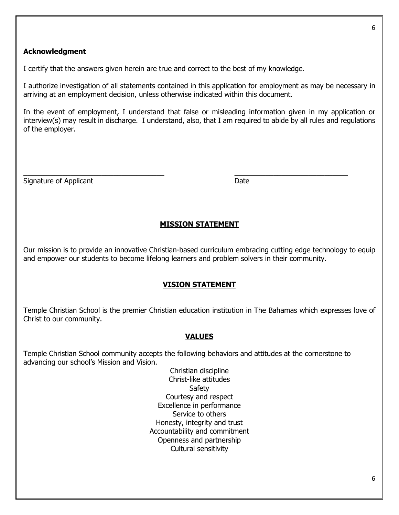#### **Acknowledgment**

I certify that the answers given herein are true and correct to the best of my knowledge.

I authorize investigation of all statements contained in this application for employment as may be necessary in arriving at an employment decision, unless otherwise indicated within this document.

In the event of employment, I understand that false or misleading information given in my application or interview(s) may result in discharge. I understand, also, that I am required to abide by all rules and regulations of the employer.

 $\_$  , and the set of the set of the set of the set of the set of the set of the set of the set of the set of the set of the set of the set of the set of the set of the set of the set of the set of the set of the set of th

Signature of Applicant Date Date Date Date

### **MISSION STATEMENT**

Our mission is to provide an innovative Christian-based curriculum embracing cutting edge technology to equip and empower our students to become lifelong learners and problem solvers in their community.

### **VISION STATEMENT**

Temple Christian School is the premier Christian education institution in The Bahamas which expresses love of Christ to our community.

### **VALUES**

Temple Christian School community accepts the following behaviors and attitudes at the cornerstone to advancing our school's Mission and Vision.

> Christian discipline Christ-like attitudes **Safety** Courtesy and respect Excellence in performance Service to others Honesty, integrity and trust Accountability and commitment Openness and partnership Cultural sensitivity